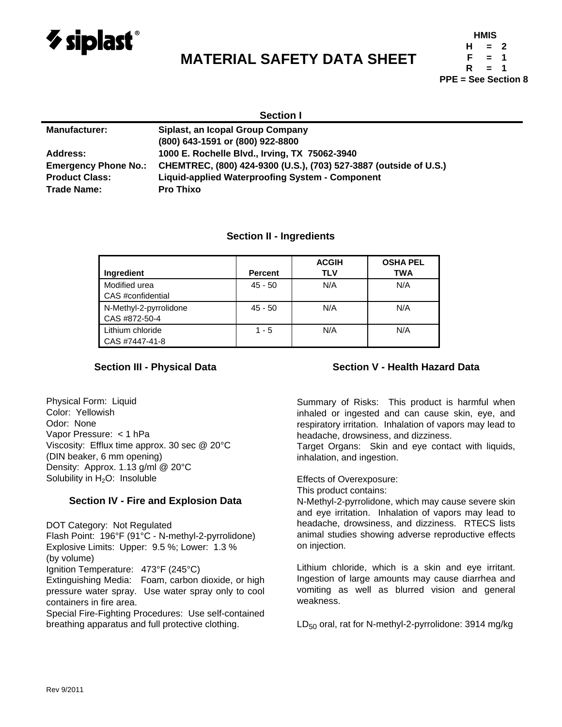

# **MATERIAL SAFETY DATA SHEET**

| HMIS                       |     |   |  |  |  |
|----------------------------|-----|---|--|--|--|
| н                          | $=$ | 2 |  |  |  |
| F                          | $=$ | 1 |  |  |  |
| R                          | $=$ | 1 |  |  |  |
| <b>PPE = See Section 8</b> |     |   |  |  |  |

| <b>Section I</b>            |                                                                   |  |  |
|-----------------------------|-------------------------------------------------------------------|--|--|
| <b>Manufacturer:</b>        | Siplast, an Icopal Group Company                                  |  |  |
|                             | (800) 643-1591 or (800) 922-8800                                  |  |  |
| Address:                    | 1000 E. Rochelle Blvd., Irving, TX 75062-3940                     |  |  |
| <b>Emergency Phone No.:</b> | CHEMTREC, (800) 424-9300 (U.S.), (703) 527-3887 (outside of U.S.) |  |  |
| <b>Product Class:</b>       | <b>Liquid-applied Waterproofing System - Component</b>            |  |  |
| Trade Name:                 | <b>Pro Thixo</b>                                                  |  |  |

## **Section II - Ingredients**

|                        |                | <b>ACGIH</b><br><b>TLV</b> | <b>OSHA PEL</b><br><b>TWA</b> |
|------------------------|----------------|----------------------------|-------------------------------|
| Ingredient             | <b>Percent</b> |                            |                               |
| Modified urea          | $45 - 50$      | N/A                        | N/A                           |
| CAS #confidential      |                |                            |                               |
| N-Methyl-2-pyrrolidone | $45 - 50$      | N/A                        | N/A                           |
| CAS #872-50-4          |                |                            |                               |
| Lithium chloride       | $1 - 5$        | N/A                        | N/A                           |
| CAS #7447-41-8         |                |                            |                               |

## **Section III - Physical Data**

Physical Form: Liquid Color: Yellowish Odor: None Vapor Pressure: < 1 hPa Viscosity: Efflux time approx. 30 sec @ 20°C (DIN beaker, 6 mm opening) Density: Approx. 1.13 g/ml @ 20°C Solubility in  $H<sub>2</sub>O$ : Insoluble

## **Section IV - Fire and Explosion Data**

DOT Category: Not Regulated Flash Point: 196°F (91°C - N-methyl-2-pyrrolidone) Explosive Limits: Upper: 9.5 %; Lower: 1.3 % (by volume) Ignition Temperature: 473°F (245°C) Extinguishing Media: Foam, carbon dioxide, or high

pressure water spray. Use water spray only to cool containers in fire area.

Special Fire-Fighting Procedures: Use self-contained breathing apparatus and full protective clothing.

## **Section V - Health Hazard Data**

Summary of Risks: This product is harmful when inhaled or ingested and can cause skin, eye, and respiratory irritation. Inhalation of vapors may lead to headache, drowsiness, and dizziness.

Target Organs: Skin and eye contact with liquids, inhalation, and ingestion.

Effects of Overexposure:

This product contains:

N-Methyl-2-pyrrolidone, which may cause severe skin and eye irritation. Inhalation of vapors may lead to headache, drowsiness, and dizziness. RTECS lists animal studies showing adverse reproductive effects on injection.

Lithium chloride, which is a skin and eye irritant. Ingestion of large amounts may cause diarrhea and vomiting as well as blurred vision and general weakness.

 $LD_{50}$  oral, rat for N-methyl-2-pyrrolidone: 3914 mg/kg